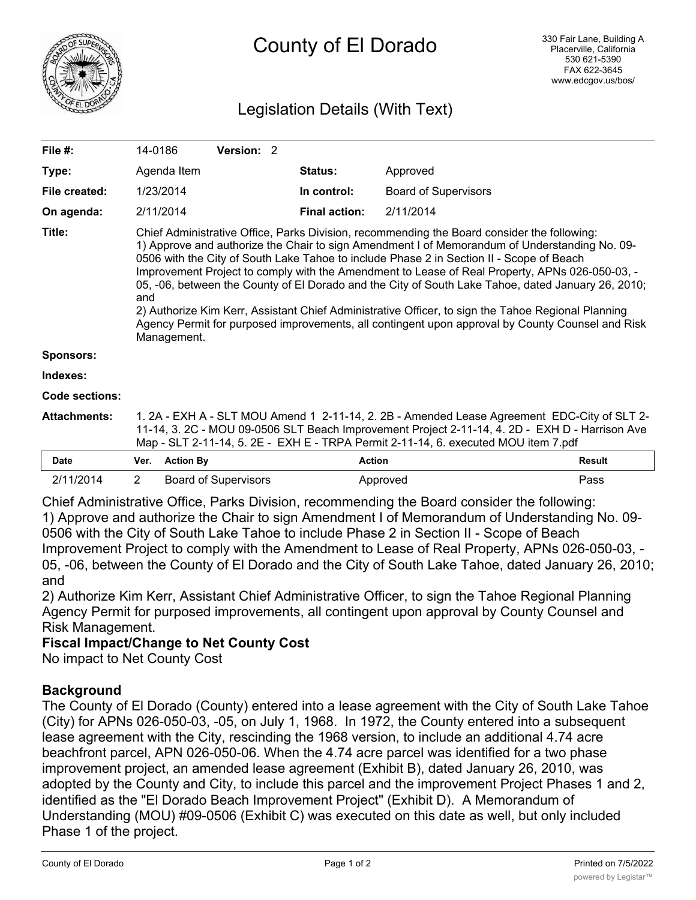

# Legislation Details (With Text)

| File $#$ :          | 14-0186                                                                                                                                                                                                                                                                                                                                                                                                                                                                                                                                                                                                                                                                                                                          |                  | <b>Version: 2</b>           |  |                      |                             |               |
|---------------------|----------------------------------------------------------------------------------------------------------------------------------------------------------------------------------------------------------------------------------------------------------------------------------------------------------------------------------------------------------------------------------------------------------------------------------------------------------------------------------------------------------------------------------------------------------------------------------------------------------------------------------------------------------------------------------------------------------------------------------|------------------|-----------------------------|--|----------------------|-----------------------------|---------------|
| Type:               |                                                                                                                                                                                                                                                                                                                                                                                                                                                                                                                                                                                                                                                                                                                                  | Agenda Item      |                             |  | <b>Status:</b>       | Approved                    |               |
| File created:       |                                                                                                                                                                                                                                                                                                                                                                                                                                                                                                                                                                                                                                                                                                                                  | 1/23/2014        |                             |  | In control:          | <b>Board of Supervisors</b> |               |
| On agenda:          |                                                                                                                                                                                                                                                                                                                                                                                                                                                                                                                                                                                                                                                                                                                                  | 2/11/2014        |                             |  | <b>Final action:</b> | 2/11/2014                   |               |
| Title:              | Chief Administrative Office, Parks Division, recommending the Board consider the following:<br>1) Approve and authorize the Chair to sign Amendment I of Memorandum of Understanding No. 09-<br>0506 with the City of South Lake Tahoe to include Phase 2 in Section II - Scope of Beach<br>Improvement Project to comply with the Amendment to Lease of Real Property, APNs 026-050-03, -<br>05, -06, between the County of El Dorado and the City of South Lake Tahoe, dated January 26, 2010;<br>and<br>2) Authorize Kim Kerr, Assistant Chief Administrative Officer, to sign the Tahoe Regional Planning<br>Agency Permit for purposed improvements, all contingent upon approval by County Counsel and Risk<br>Management. |                  |                             |  |                      |                             |               |
| <b>Sponsors:</b>    |                                                                                                                                                                                                                                                                                                                                                                                                                                                                                                                                                                                                                                                                                                                                  |                  |                             |  |                      |                             |               |
| Indexes:            |                                                                                                                                                                                                                                                                                                                                                                                                                                                                                                                                                                                                                                                                                                                                  |                  |                             |  |                      |                             |               |
| Code sections:      |                                                                                                                                                                                                                                                                                                                                                                                                                                                                                                                                                                                                                                                                                                                                  |                  |                             |  |                      |                             |               |
| <b>Attachments:</b> | 1. 2A - EXH A - SLT MOU Amend 1 2-11-14, 2. 2B - Amended Lease Agreement EDC-City of SLT 2-<br>11-14, 3. 2C - MOU 09-0506 SLT Beach Improvement Project 2-11-14, 4. 2D - EXH D - Harrison Ave<br>Map - SLT 2-11-14, 5. 2E - EXH E - TRPA Permit 2-11-14, 6. executed MOU item 7.pdf                                                                                                                                                                                                                                                                                                                                                                                                                                              |                  |                             |  |                      |                             |               |
| <b>Date</b>         | Ver.                                                                                                                                                                                                                                                                                                                                                                                                                                                                                                                                                                                                                                                                                                                             | <b>Action By</b> |                             |  | <b>Action</b>        |                             | <b>Result</b> |
| 2/11/2014           | $\overline{2}$                                                                                                                                                                                                                                                                                                                                                                                                                                                                                                                                                                                                                                                                                                                   |                  | <b>Board of Supervisors</b> |  |                      | Approved                    | Pass          |

Chief Administrative Office, Parks Division, recommending the Board consider the following: 1) Approve and authorize the Chair to sign Amendment I of Memorandum of Understanding No. 09- 0506 with the City of South Lake Tahoe to include Phase 2 in Section II - Scope of Beach Improvement Project to comply with the Amendment to Lease of Real Property, APNs 026-050-03, - 05, -06, between the County of El Dorado and the City of South Lake Tahoe, dated January 26, 2010; and

2) Authorize Kim Kerr, Assistant Chief Administrative Officer, to sign the Tahoe Regional Planning Agency Permit for purposed improvements, all contingent upon approval by County Counsel and Risk Management.

# **Fiscal Impact/Change to Net County Cost**

No impact to Net County Cost

# **Background**

The County of El Dorado (County) entered into a lease agreement with the City of South Lake Tahoe (City) for APNs 026-050-03, -05, on July 1, 1968. In 1972, the County entered into a subsequent lease agreement with the City, rescinding the 1968 version, to include an additional 4.74 acre beachfront parcel, APN 026-050-06. When the 4.74 acre parcel was identified for a two phase improvement project, an amended lease agreement (Exhibit B), dated January 26, 2010, was adopted by the County and City, to include this parcel and the improvement Project Phases 1 and 2, identified as the "El Dorado Beach Improvement Project" (Exhibit D). A Memorandum of Understanding (MOU) #09-0506 (Exhibit C) was executed on this date as well, but only included Phase 1 of the project.